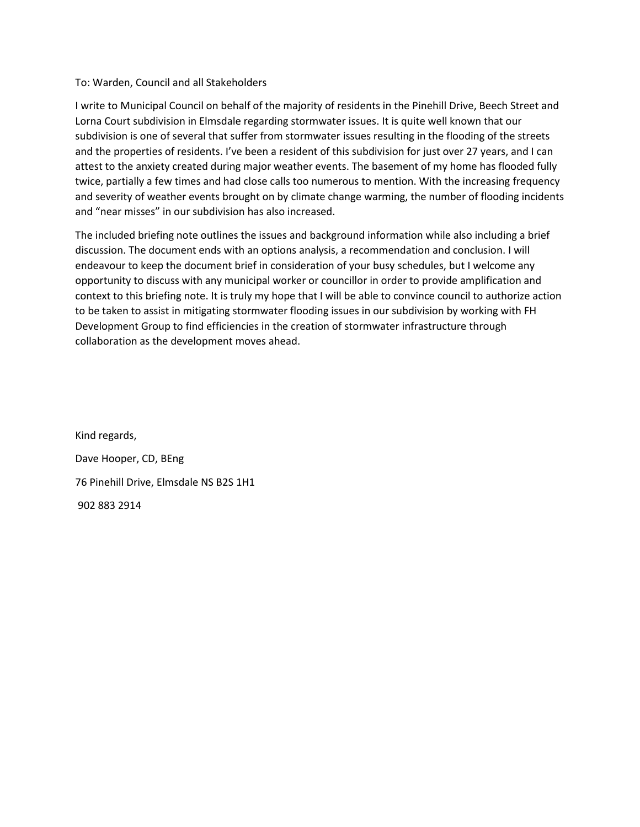#### To: Warden, Council and all Stakeholders

I write to Municipal Council on behalf of the majority of residents in the Pinehill Drive, Beech Street and Lorna Court subdivision in Elmsdale regarding stormwater issues. It is quite well known that our subdivision is one of several that suffer from stormwater issues resulting in the flooding of the streets and the properties of residents. I've been a resident of this subdivision for just over 27 years, and I can attest to the anxiety created during major weather events. The basement of my home has flooded fully twice, partially a few times and had close calls too numerous to mention. With the increasing frequency and severity of weather events brought on by climate change warming, the number of flooding incidents and "near misses" in our subdivision has also increased.

The included briefing note outlines the issues and background information while also including a brief discussion. The document ends with an options analysis, a recommendation and conclusion. I will endeavour to keep the document brief in consideration of your busy schedules, but I welcome any opportunity to discuss with any municipal worker or councillor in order to provide amplification and context to this briefing note. It is truly my hope that I will be able to convince council to authorize action to be taken to assist in mitigating stormwater flooding issues in our subdivision by working with FH Development Group to find efficiencies in the creation of stormwater infrastructure through collaboration as the development moves ahead.

Kind regards, Dave Hooper, CD, BEng 76 Pinehill Drive, Elmsdale NS B2S 1H1 902 883 2914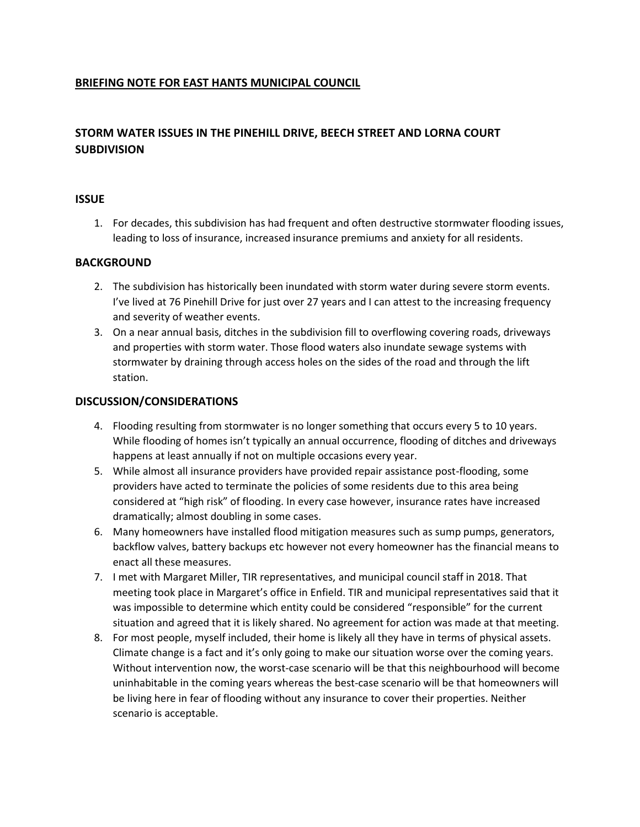# **BRIEFING NOTE FOR EAST HANTS MUNICIPAL COUNCIL**

# **STORM WATER ISSUES IN THE PINEHILL DRIVE, BEECH STREET AND LORNA COURT SUBDIVISION**

### **ISSUE**

1. For decades, this subdivision has had frequent and often destructive stormwater flooding issues, leading to loss of insurance, increased insurance premiums and anxiety for all residents.

## **BACKGROUND**

- 2. The subdivision has historically been inundated with storm water during severe storm events. I've lived at 76 Pinehill Drive for just over 27 years and I can attest to the increasing frequency and severity of weather events.
- 3. On a near annual basis, ditches in the subdivision fill to overflowing covering roads, driveways and properties with storm water. Those flood waters also inundate sewage systems with stormwater by draining through access holes on the sides of the road and through the lift station.

#### **DISCUSSION/CONSIDERATIONS**

- 4. Flooding resulting from stormwater is no longer something that occurs every 5 to 10 years. While flooding of homes isn't typically an annual occurrence, flooding of ditches and driveways happens at least annually if not on multiple occasions every year.
- 5. While almost all insurance providers have provided repair assistance post-flooding, some providers have acted to terminate the policies of some residents due to this area being considered at "high risk" of flooding. In every case however, insurance rates have increased dramatically; almost doubling in some cases.
- 6. Many homeowners have installed flood mitigation measures such as sump pumps, generators, backflow valves, battery backups etc however not every homeowner has the financial means to enact all these measures.
- 7. I met with Margaret Miller, TIR representatives, and municipal council staff in 2018. That meeting took place in Margaret's office in Enfield. TIR and municipal representatives said that it was impossible to determine which entity could be considered "responsible" for the current situation and agreed that it is likely shared. No agreement for action was made at that meeting.
- 8. For most people, myself included, their home is likely all they have in terms of physical assets. Climate change is a fact and it's only going to make our situation worse over the coming years. Without intervention now, the worst-case scenario will be that this neighbourhood will become uninhabitable in the coming years whereas the best-case scenario will be that homeowners will be living here in fear of flooding without any insurance to cover their properties. Neither scenario is acceptable.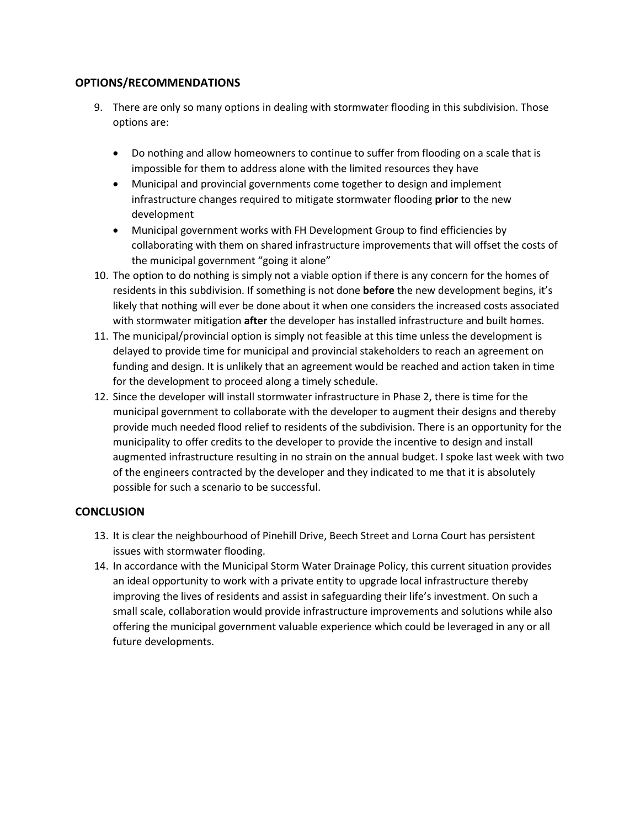### **OPTIONS/RECOMMENDATIONS**

- 9. There are only so many options in dealing with stormwater flooding in this subdivision. Those options are:
	- Do nothing and allow homeowners to continue to suffer from flooding on a scale that is impossible for them to address alone with the limited resources they have
	- Municipal and provincial governments come together to design and implement infrastructure changes required to mitigate stormwater flooding **prior** to the new development
	- Municipal government works with FH Development Group to find efficiencies by collaborating with them on shared infrastructure improvements that will offset the costs of the municipal government "going it alone"
- 10. The option to do nothing is simply not a viable option if there is any concern for the homes of residents in this subdivision. If something is not done **before** the new development begins, it's likely that nothing will ever be done about it when one considers the increased costs associated with stormwater mitigation **after** the developer has installed infrastructure and built homes.
- 11. The municipal/provincial option is simply not feasible at this time unless the development is delayed to provide time for municipal and provincial stakeholders to reach an agreement on funding and design. It is unlikely that an agreement would be reached and action taken in time for the development to proceed along a timely schedule.
- 12. Since the developer will install stormwater infrastructure in Phase 2, there is time for the municipal government to collaborate with the developer to augment their designs and thereby provide much needed flood relief to residents of the subdivision. There is an opportunity for the municipality to offer credits to the developer to provide the incentive to design and install augmented infrastructure resulting in no strain on the annual budget. I spoke last week with two of the engineers contracted by the developer and they indicated to me that it is absolutely possible for such a scenario to be successful.

## **CONCLUSION**

- 13. It is clear the neighbourhood of Pinehill Drive, Beech Street and Lorna Court has persistent issues with stormwater flooding.
- 14. In accordance with the Municipal Storm Water Drainage Policy, this current situation provides an ideal opportunity to work with a private entity to upgrade local infrastructure thereby improving the lives of residents and assist in safeguarding their life's investment. On such a small scale, collaboration would provide infrastructure improvements and solutions while also offering the municipal government valuable experience which could be leveraged in any or all future developments.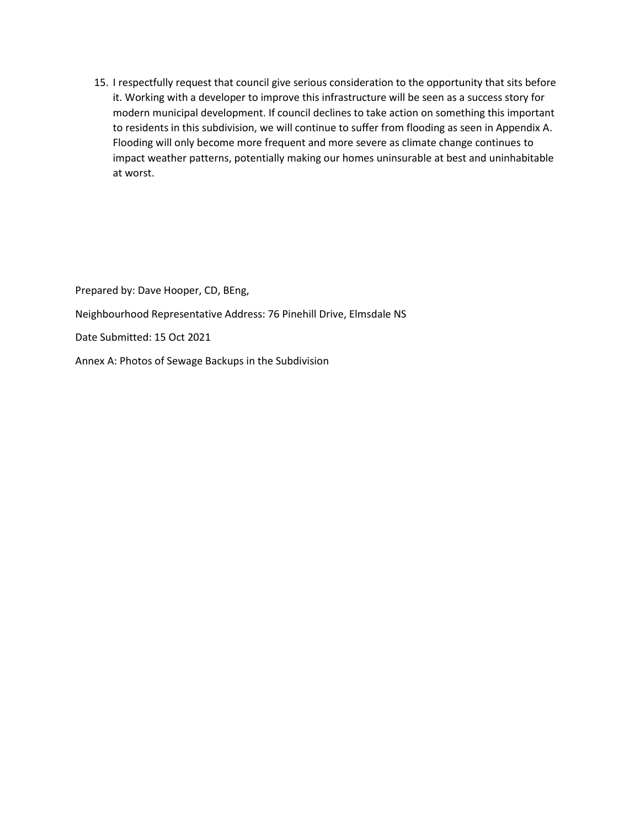15. I respectfully request that council give serious consideration to the opportunity that sits before it. Working with a developer to improve this infrastructure will be seen as a success story for modern municipal development. If council declines to take action on something this important to residents in this subdivision, we will continue to suffer from flooding as seen in Appendix A. Flooding will only become more frequent and more severe as climate change continues to impact weather patterns, potentially making our homes uninsurable at best and uninhabitable at worst.

Prepared by: Dave Hooper, CD, BEng,

Neighbourhood Representative Address: 76 Pinehill Drive, Elmsdale NS

Date Submitted: 15 Oct 2021

Annex A: Photos of Sewage Backups in the Subdivision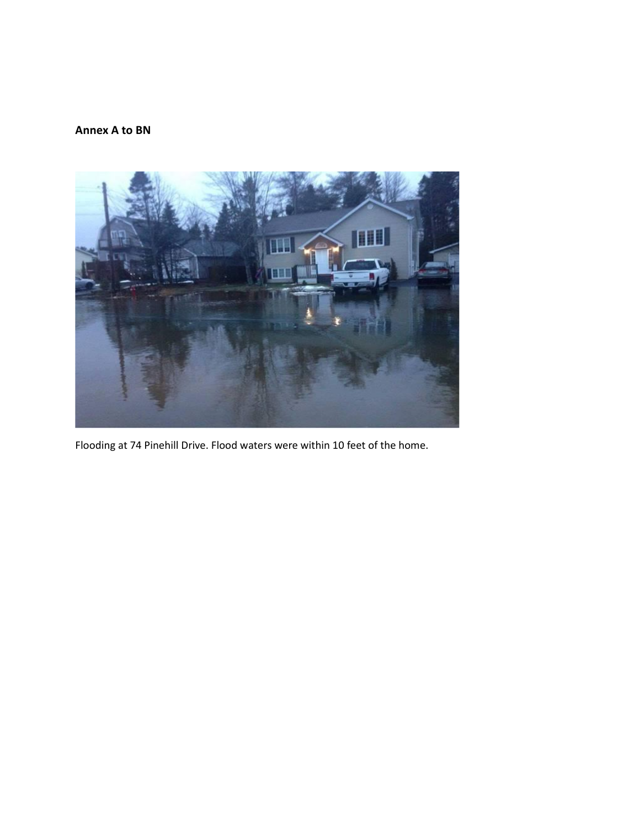# **Annex A to BN**



Flooding at 74 Pinehill Drive. Flood waters were within 10 feet of the home.